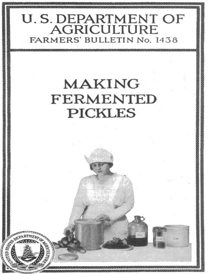#### **U.S. DEPARTMENT OF AGRICULTURE** FARMERS' BULLETIN No. 1438

#### **MAKING FERMENTED PICKLES**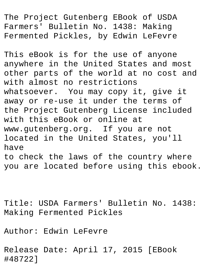The Project Gutenberg EBook of USDA Farmers' Bulletin No. 1438: Making Fermented Pickles, by Edwin LeFevre

This eBook is for the use of anyone anywhere in the United States and most other parts of the world at no cost and with almost no restrictions whatsoever. You may copy it, give it away or re-use it under the terms of the Project Gutenberg License included with this eBook or online at www.gutenberg.org. If you are not located in the United States, you'll have to check the laws of the country where

you are located before using this ebook.

Title: USDA Farmers' Bulletin No. 1438: Making Fermented Pickles

Author: Edwin LeFevre

Release Date: April 17, 2015 [EBook #48722]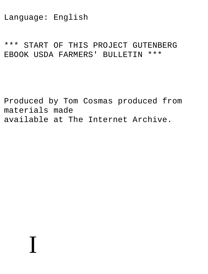Language: English

I

\*\*\* START OF THIS PROJECT GUTENBERG EBOOK USDA FARMERS' BULLETIN \*\*\*

Produced by Tom Cosmas produced from materials made available at The Internet Archive.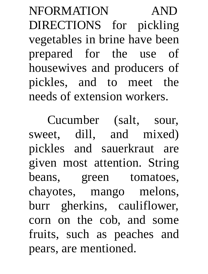NFORMATION AND DIRECTIONS for pickling vegetables in brine have been prepared for the use of housewives and producers of pickles, and to meet the needs of extension workers.

Cucumber (salt, sour, sweet, dill, and mixed) pickles and sauerkraut are given most attention. String beans, green tomatoes, chayotes, mango melons, burr gherkins, cauliflower, corn on the cob, and some fruits, such as peaches and pears, are mentioned.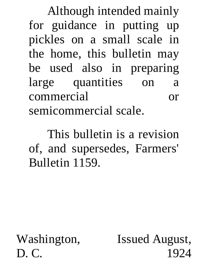Although intended mainly for guidance in putting up pickles on a small scale in the home, this bulletin may be used also in preparing large quantities on a commercial or semicommercial scale.

This bulletin is a revision of, and supersedes, Farmers' Bulletin 1159.

Washington,  $D. C.$ 

Issued August, 1924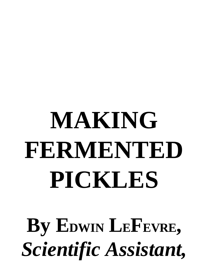# **MAKING FERMENTED PICKLES**

**By EDWIN LEFEVRE,** *Scientific Assistant,*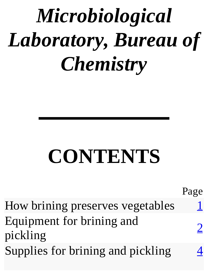### *Microbiological Laboratory, Bureau of Chemistry*

### **CONTENTS**

|                                       | Page |
|---------------------------------------|------|
| How brining preserves vegetables      |      |
| Equipment for brining and<br>pickling |      |
| Supplies for brining and pickling     |      |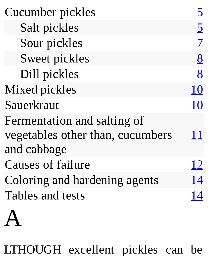| Cucumber pickles                 | <u>5</u>       |
|----------------------------------|----------------|
| Salt pickles                     | $\overline{5}$ |
| Sour pickles                     | $\overline{Z}$ |
| Sweet pickles                    | 8              |
| Dill pickles                     | 8              |
| Mixed pickles                    | <u>10</u>      |
| Sauerkraut                       | <b>10</b>      |
| Fermentation and salting of      |                |
| vegetables other than, cucumbers | 11             |
| and cabbage                      |                |
| Causes of failure                | 12             |
| Coloring and hardening agents    | 14             |
| Tables and tests                 | 14             |
|                                  |                |

## A

LTHOUGH excellent pickles can be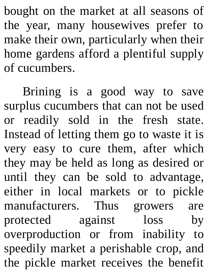bought on the market at all seasons of the year, many housewives prefer to make their own, particularly when their home gardens afford a plentiful supply of cucumbers.

Brining is a good way to save surplus cucumbers that can not be used or readily sold in the fresh state. Instead of letting them go to waste it is very easy to cure them, after which they may be held as long as desired or until they can be sold to advantage, either in local markets or to pickle manufacturers. Thus growers are protected against loss by overproduction or from inability to speedily market a perishable crop, and the pickle market receives the benefit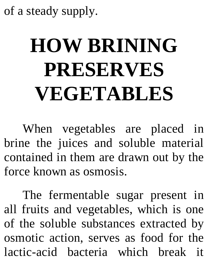of a steady supply.

### **HOW BRINING PRESERVES VEGETABLES**

When vegetables are placed in brine the juices and soluble material contained in them are drawn out by the force known as osmosis.

The fermentable sugar present in all fruits and vegetables, which is one of the soluble substances extracted by osmotic action, serves as food for the lactic-acid bacteria which break it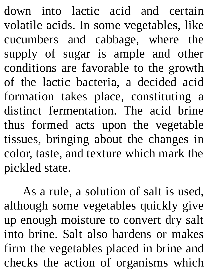down into lactic acid and certain volatile acids. In some vegetables, like cucumbers and cabbage, where the supply of sugar is ample and other conditions are favorable to the growth of the lactic bacteria, a decided acid formation takes place, constituting a distinct fermentation. The acid brine thus formed acts upon the vegetable tissues, bringing about the changes in color, taste, and texture which mark the pickled state.

As a rule, a solution of salt is used, although some vegetables quickly give up enough moisture to convert dry salt into brine. Salt also hardens or makes firm the vegetables placed in brine and checks the action of organisms which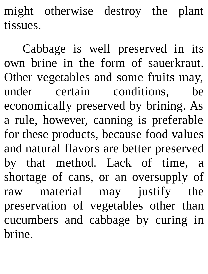might otherwise destroy the plant tissues.

Cabbage is well preserved in its own brine in the form of sauerkraut. Other vegetables and some fruits may, under certain conditions, be economically preserved by brining. As a rule, however, canning is preferable for these products, because food values and natural flavors are better preserved by that method. Lack of time, a shortage of cans, or an oversupply of raw material may justify the preservation of vegetables other than cucumbers and cabbage by curing in brine.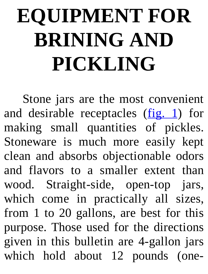### **EQUIPMENT FOR BRINING AND PICKLING**

Stone jars are the most convenient and desirable receptacles  $(f_ig, 1)$  for making small quantities of pickles. Stoneware is much more easily kept clean and absorbs objectionable odors and flavors to a smaller extent than wood. Straight-side, open-top jars, which come in practically all sizes, from 1 to 20 gallons, are best for this purpose. Those used for the directions given in this bulletin are 4-gallon jars which hold about 12 pounds (one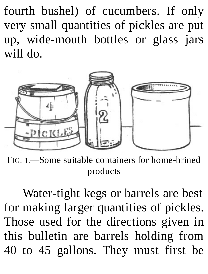fourth bushel) of cucumbers. If only very small quantities of pickles are put up, wide-mouth bottles or glass jars will do.



FIG. 1.—Some suitable containers for home-brined products

Water-tight kegs or barrels are best for making larger quantities of pickles. Those used for the directions given in this bulletin are barrels holding from 40 to 45 gallons. They must first be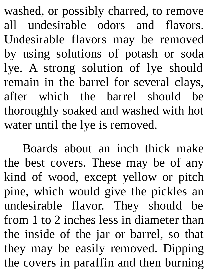washed, or possibly charred, to remove all undesirable odors and flavors. Undesirable flavors may be removed by using solutions of potash or soda lye. A strong solution of lye should remain in the barrel for several clays, after which the barrel should be thoroughly soaked and washed with hot water until the lye is removed.

Boards about an inch thick make the best covers. These may be of any kind of wood, except yellow or pitch pine, which would give the pickles an undesirable flavor. They should be from 1 to 2 inches less in diameter than the inside of the jar or barrel, so that they may be easily removed. Dipping the covers in paraffin and then burning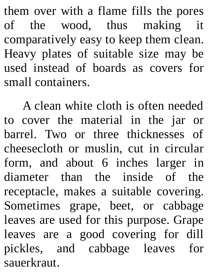them over with a flame fills the pores of the wood, thus making it comparatively easy to keep them clean. Heavy plates of suitable size may be used instead of boards as covers for small containers.

A clean white cloth is often needed to cover the material in the jar or barrel. Two or three thicknesses of cheesecloth or muslin, cut in circular form, and about 6 inches larger in diameter than the inside of the receptacle, makes a suitable covering. Sometimes grape, beet, or cabbage leaves are used for this purpose. Grape leaves are a good covering for dill pickles, and cabbage leaves for sauerkraut.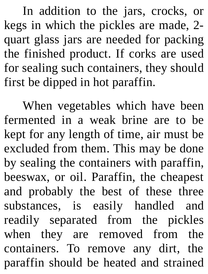In addition to the jars, crocks, or kegs in which the pickles are made, 2 quart glass jars are needed for packing the finished product. If corks are used for sealing such containers, they should first be dipped in hot paraffin.

When vegetables which have been fermented in a weak brine are to be kept for any length of time, air must be excluded from them. This may be done by sealing the containers with paraffin, beeswax, or oil. Paraffin, the cheapest and probably the best of these three substances, is easily handled and readily separated from the pickles when they are removed from the containers. To remove any dirt, the paraffin should be heated and strained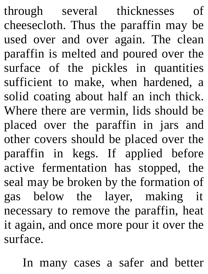through several thicknesses of cheesecloth. Thus the paraffin may be used over and over again. The clean paraffin is melted and poured over the surface of the pickles in quantities sufficient to make, when hardened, a solid coating about half an inch thick. Where there are vermin, lids should be placed over the paraffin in jars and other covers should be placed over the paraffin in kegs. If applied before active fermentation has stopped, the seal may be broken by the formation of gas below the layer, making it necessary to remove the paraffin, heat it again, and once more pour it over the surface.

In many cases a safer and better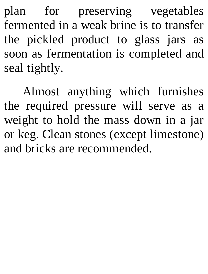plan for preserving vegetables fermented in a weak brine is to transfer the pickled product to glass jars as soon as fermentation is completed and seal tightly.

Almost anything which furnishes the required pressure will serve as a weight to hold the mass down in a jar or keg. Clean stones (except limestone) and bricks are recommended.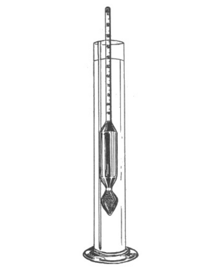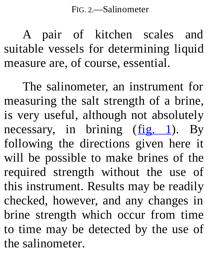FIG. 2.—Salinometer

A pair of kitchen scales and suitable vessels for determining liquid measure are, of course, essential.

The salinometer, an instrument for measuring the salt strength of a brine, is very useful, although not absolutely necessary, in brining  $(fig. 1)$ . By following the directions given here it will be possible to make brines of the required strength without the use of this instrument. Results may be readily checked, however, and any changes in brine strength which occur from time to time may be detected by the use of the salinometer.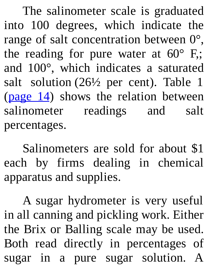The salinometer scale is graduated into 100 degrees, which indicate the range of salt concentration between 0°, the reading for pure water at  $60^{\circ}$  F,; and 100°, which indicates a saturated salt solution (26½ per cent). Table 1 (page 14) shows the relation between salinometer readings and salt percentages.

Salinometers are sold for about \$1 each by firms dealing in chemical apparatus and supplies.

A sugar hydrometer is very useful in all canning and pickling work. Either the Brix or Balling scale may be used. Both read directly in percentages of sugar in a pure sugar solution. A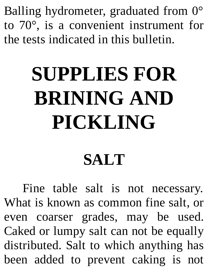Balling hydrometer, graduated from 0° to 70°, is a convenient instrument for the tests indicated in this bulletin.

## **SUPPLIES FOR BRINING AND PICKLING**

### **SALT**

Fine table salt is not necessary. What is known as common fine salt, or even coarser grades, may be used. Caked or lumpy salt can not be equally distributed. Salt to which anything has been added to prevent caking is not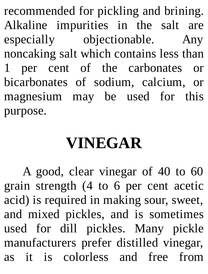recommended for pickling and brining. Alkaline impurities in the salt are especially objectionable. Any noncaking salt which contains less than 1 per cent of the carbonates or bicarbonates of sodium, calcium, or magnesium may be used for this purpose.

#### **VINEGAR**

A good, clear vinegar of 40 to 60 grain strength (4 to 6 per cent acetic acid) is required in making sour, sweet, and mixed pickles, and is sometimes used for dill pickles. Many pickle manufacturers prefer distilled vinegar, as it is colorless and free from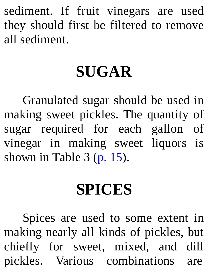sediment. If fruit vinegars are used they should first be filtered to remove all sediment.

#### **SUGAR**

Granulated sugar should be used in making sweet pickles. The quantity of sugar required for each gallon of vinegar in making sweet liquors is shown in Table 3  $(p. 15)$ .

#### **SPICES**

Spices are used to some extent in making nearly all kinds of pickles, but chiefly for sweet, mixed, and dill pickles. Various combinations are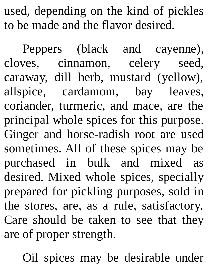used, depending on the kind of pickles to be made and the flavor desired.

Peppers (black and cayenne), cloves, cinnamon, celery seed, caraway, dill herb, mustard (yellow), allspice, cardamom, bay leaves, coriander, turmeric, and mace, are the principal whole spices for this purpose. Ginger and horse-radish root are used sometimes. All of these spices may be purchased in bulk and mixed as desired. Mixed whole spices, specially prepared for pickling purposes, sold in the stores, are, as a rule, satisfactory. Care should be taken to see that they are of proper strength.

Oil spices may be desirable under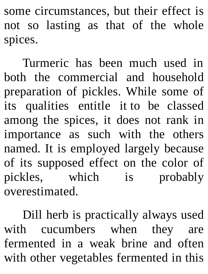some circumstances, but their effect is not so lasting as that of the whole spices.

Turmeric has been much used in both the commercial and household preparation of pickles. While some of its qualities entitle it to be classed among the spices, it does not rank in importance as such with the others named. It is employed largely because of its supposed effect on the color of pickles, which is probably overestimated.

Dill herb is practically always used with cucumbers when they are fermented in a weak brine and often with other vegetables fermented in this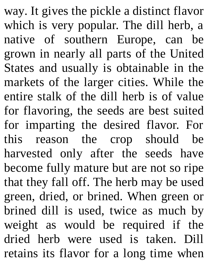way. It gives the pickle a distinct flavor which is very popular. The dill herb, a native of southern Europe, can be grown in nearly all parts of the United States and usually is obtainable in the markets of the larger cities. While the entire stalk of the dill herb is of value for flavoring, the seeds are best suited for imparting the desired flavor. For this reason the crop should be harvested only after the seeds have become fully mature but are not so ripe that they fall off. The herb may be used green, dried, or brined. When green or brined dill is used, twice as much by weight as would be required if the dried herb were used is taken. Dill retains its flavor for a long time when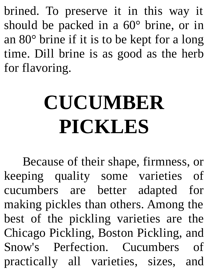brined. To preserve it in this way it should be packed in a 60° brine, or in an 80° brine if it is to be kept for a long time. Dill brine is as good as the herb for flavoring.

## **CUCUMBER PICKLES**

Because of their shape, firmness, or keeping quality some varieties of cucumbers are better adapted for making pickles than others. Among the best of the pickling varieties are the Chicago Pickling, Boston Pickling, and Snow's Perfection. Cucumbers of practically all varieties, sizes, and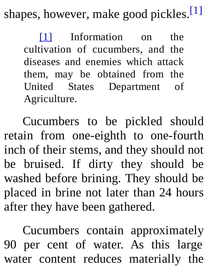shapes, however, make good pickles. $^{\text{\tiny{\textsf{[1]}}}}$ 

[1] Information on the cultivation of cucumbers, and the diseases and enemies which attack them, may be obtained from the United States Department of Agriculture.

Cucumbers to be pickled should retain from one-eighth to one-fourth inch of their stems, and they should not be bruised. If dirty they should be washed before brining. They should be placed in brine not later than 24 hours after they have been gathered.

Cucumbers contain approximately 90 per cent of water. As this large water content reduces materially the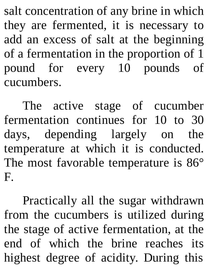salt concentration of any brine in which they are fermented, it is necessary to add an excess of salt at the beginning of a fermentation in the proportion of 1 pound for every 10 pounds of cucumbers.

The active stage of cucumber fermentation continues for 10 to 30 days, depending largely on the temperature at which it is conducted. The most favorable temperature is 86° F.

Practically all the sugar withdrawn from the cucumbers is utilized during the stage of active fermentation, at the end of which the brine reaches its highest degree of acidity. During this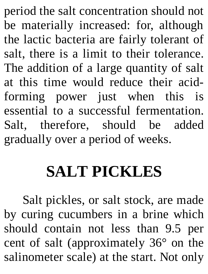period the salt concentration should not be materially increased: for, although the lactic bacteria are fairly tolerant of salt, there is a limit to their tolerance. The addition of a large quantity of salt at this time would reduce their acidforming power just when this is essential to a successful fermentation. Salt, therefore, should be added gradually over a period of weeks.

#### **SALT PICKLES**

Salt pickles, or salt stock, are made by curing cucumbers in a brine which should contain not less than 9.5 per cent of salt (approximately 36° on the salinometer scale) at the start. Not only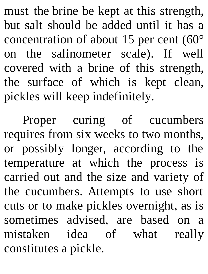must the brine be kept at this strength, but salt should be added until it has a concentration of about 15 per cent (60° on the salinometer scale). If well covered with a brine of this strength, the surface of which is kept clean, pickles will keep indefinitely.

Proper curing of cucumbers requires from six weeks to two months, or possibly longer, according to the temperature at which the process is carried out and the size and variety of the cucumbers. Attempts to use short cuts or to make pickles overnight, as is sometimes advised, are based on a mistaken idea of what really constitutes a pickle.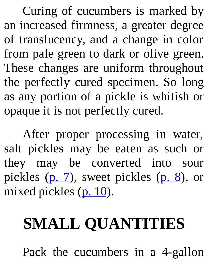Curing of cucumbers is marked by an increased firmness, a greater degree of translucency, and a change in color from pale green to dark or olive green. These changes are uniform throughout the perfectly cured specimen. So long as any portion of a pickle is whitish or opaque it is not perfectly cured.

After proper processing in water, salt pickles may be eaten as such or they may be converted into sour pickles  $(p. 7)$ , sweet pickles  $(p. 8)$ , or mixed pickles (p. 10).

#### **SMALL QUANTITIES**

Pack the cucumbers in a 4-gallon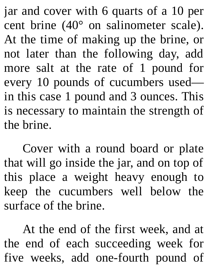jar and cover with 6 quarts of a 10 per cent brine (40° on salinometer scale). At the time of making up the brine, or not later than the following day, add more salt at the rate of 1 pound for every 10 pounds of cucumbers used in this case 1 pound and 3 ounces. This is necessary to maintain the strength of the brine.

Cover with a round board or plate that will go inside the jar, and on top of this place a weight heavy enough to keep the cucumbers well below the surface of the brine.

At the end of the first week, and at the end of each succeeding week for five weeks, add one-fourth pound of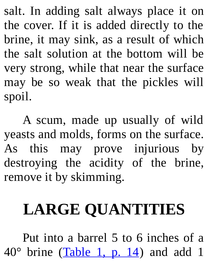salt. In adding salt always place it on the cover. If it is added directly to the brine, it may sink, as a result of which the salt solution at the bottom will be very strong, while that near the surface may be so weak that the pickles will spoil.

A scum, made up usually of wild yeasts and molds, forms on the surface. As this may prove injurious by destroying the acidity of the brine, remove it by skimming.

### **LARGE QUANTITIES**

Put into a barrel 5 to 6 inches of a  $40^\circ$  brine (Table 1, p. 14) and add 1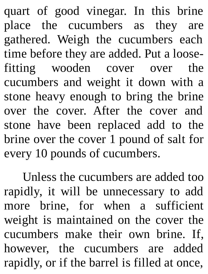quart of good vinegar. In this brine place the cucumbers as they are gathered. Weigh the cucumbers each time before they are added. Put a loosefitting wooden cover over the cucumbers and weight it down with a stone heavy enough to bring the brine over the cover. After the cover and stone have been replaced add to the brine over the cover 1 pound of salt for every 10 pounds of cucumbers.

Unless the cucumbers are added too rapidly, it will be unnecessary to add more brine, for when a sufficient weight is maintained on the cover the cucumbers make their own brine. If, however, the cucumbers are added rapidly, or if the barrel is filled at once,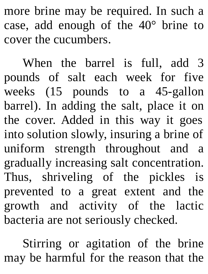more brine may be required. In such a case, add enough of the 40° brine to cover the cucumbers.

When the barrel is full, add 3 pounds of salt each week for five weeks (15 pounds to a 45-gallon barrel). In adding the salt, place it on the cover. Added in this way it goes into solution slowly, insuring a brine of uniform strength throughout and a gradually increasing salt concentration. Thus, shriveling of the pickles is prevented to a great extent and the growth and activity of the lactic bacteria are not seriously checked.

Stirring or agitation of the brine may be harmful for the reason that the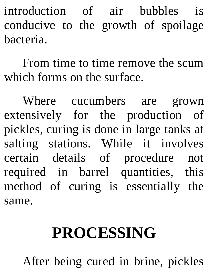introduction of air bubbles is conducive to the growth of spoilage bacteria.

From time to time remove the scum which forms on the surface.

Where cucumbers are grown extensively for the production of pickles, curing is done in large tanks at salting stations. While it involves certain details of procedure not required in barrel quantities, this method of curing is essentially the same.

# **PROCESSING**

After being cured in brine, pickles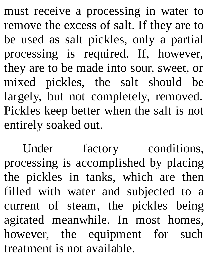must receive a processing in water to remove the excess of salt. If they are to be used as salt pickles, only a partial processing is required. If, however, they are to be made into sour, sweet, or mixed pickles, the salt should be largely, but not completely, removed. Pickles keep better when the salt is not entirely soaked out.

Under factory conditions, processing is accomplished by placing the pickles in tanks, which are then filled with water and subjected to a current of steam, the pickles being agitated meanwhile. In most homes, however, the equipment for such treatment is not available.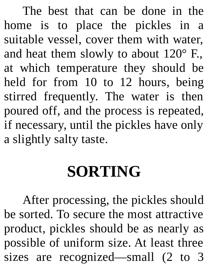The best that can be done in the home is to place the pickles in a suitable vessel, cover them with water, and heat them slowly to about 120° F., at which temperature they should be held for from 10 to 12 hours, being stirred frequently. The water is then poured off, and the process is repeated, if necessary, until the pickles have only a slightly salty taste.

#### **SORTING**

After processing, the pickles should be sorted. To secure the most attractive product, pickles should be as nearly as possible of uniform size. At least three sizes are recognized—small (2 to 3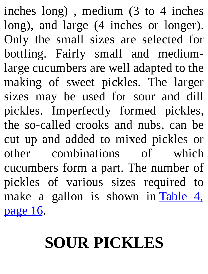inches long) , medium (3 to 4 inches long), and large (4 inches or longer). Only the small sizes are selected for bottling. Fairly small and mediumlarge cucumbers are well adapted to the making of sweet pickles. The larger sizes may be used for sour and dill pickles. Imperfectly formed pickles, the so-called crooks and nubs, can be cut up and added to mixed pickles or other combinations of which cucumbers form a part. The number of pickles of various sizes required to make a gallon is shown in  $Table 4$ , page 16.

#### **SOUR PICKLES**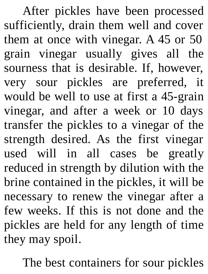After pickles have been processed sufficiently, drain them well and cover them at once with vinegar. A 45 or 50 grain vinegar usually gives all the sourness that is desirable. If, however, very sour pickles are preferred, it would be well to use at first a 45-grain vinegar, and after a week or 10 days transfer the pickles to a vinegar of the strength desired. As the first vinegar used will in all cases be greatly reduced in strength by dilution with the brine contained in the pickles, it will be necessary to renew the vinegar after a few weeks. If this is not done and the pickles are held for any length of time they may spoil.

The best containers for sour pickles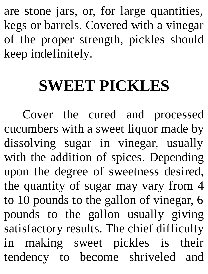are stone jars, or, for large quantities, kegs or barrels. Covered with a vinegar of the proper strength, pickles should keep indefinitely.

#### **SWEET PICKLES**

Cover the cured and processed cucumbers with a sweet liquor made by dissolving sugar in vinegar, usually with the addition of spices. Depending upon the degree of sweetness desired, the quantity of sugar may vary from 4 to 10 pounds to the gallon of vinegar, 6 pounds to the gallon usually giving satisfactory results. The chief difficulty in making sweet pickles is their tendency to become shriveled and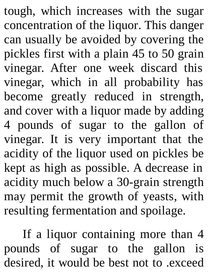tough, which increases with the sugar concentration of the liquor. This danger can usually be avoided by covering the pickles first with a plain 45 to 50 grain vinegar. After one week discard this vinegar, which in all probability has become greatly reduced in strength, and cover with a liquor made by adding 4 pounds of sugar to the gallon of vinegar. It is very important that the acidity of the liquor used on pickles be kept as high as possible. A decrease in acidity much below a 30-grain strength may permit the growth of yeasts, with resulting fermentation and spoilage.

If a liquor containing more than 4 pounds of sugar to the gallon is desired, it would be best not to .exceed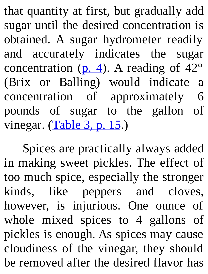that quantity at first, but gradually add sugar until the desired concentration is obtained. A sugar hydrometer readily and accurately indicates the sugar concentration ( $\underline{p. 4}$ ). A reading of 42 $\circ$ (Brix or Balling) would indicate a concentration of approximately 6 pounds of sugar to the gallon of vinegar. (Table 3, p. 15.)

Spices are practically always added in making sweet pickles. The effect of too much spice, especially the stronger kinds, like peppers and cloves, however, is injurious. One ounce of whole mixed spices to 4 gallons of pickles is enough. As spices may cause cloudiness of the vinegar, they should be removed after the desired flavor has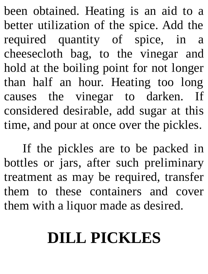been obtained. Heating is an aid to a better utilization of the spice. Add the required quantity of spice, in a cheesecloth bag, to the vinegar and hold at the boiling point for not longer than half an hour. Heating too long causes the vinegar to darken. If considered desirable, add sugar at this time, and pour at once over the pickles.

If the pickles are to be packed in bottles or jars, after such preliminary treatment as may be required, transfer them to these containers and cover them with a liquor made as desired.

### **DILL PICKLES**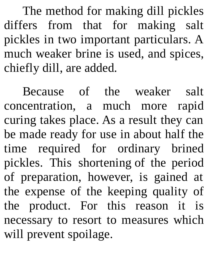The method for making dill pickles differs from that for making salt pickles in two important particulars. A much weaker brine is used, and spices, chiefly dill, are added.

Because of the weaker salt concentration, a much more rapid curing takes place. As a result they can be made ready for use in about half the time required for ordinary brined pickles. This shortening of the period of preparation, however, is gained at the expense of the keeping quality of the product. For this reason it is necessary to resort to measures which will prevent spoilage.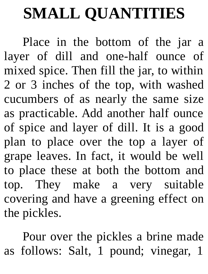# **SMALL QUANTITIES**

Place in the bottom of the jar a layer of dill and one-half ounce of mixed spice. Then fill the jar, to within 2 or 3 inches of the top, with washed cucumbers of as nearly the same size as practicable. Add another half ounce of spice and layer of dill. It is a good plan to place over the top a layer of grape leaves. In fact, it would be well to place these at both the bottom and top. They make a very suitable covering and have a greening effect on the pickles.

Pour over the pickles a brine made as follows: Salt, 1 pound; vinegar, 1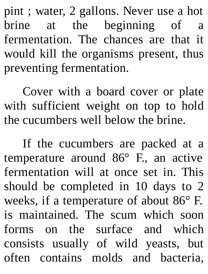pint ; water, 2 gallons. Never use a hot brine at the beginning of a fermentation. The chances are that it would kill the organisms present, thus preventing fermentation.

Cover with a board cover or plate with sufficient weight on top to hold the cucumbers well below the brine.

If the cucumbers are packed at a temperature around 86° F., an active fermentation will at once set in. This should be completed in 10 days to 2 weeks, if a temperature of about 86° F. is maintained. The scum which soon forms on the surface and which consists usually of wild yeasts, but often contains molds and bacteria,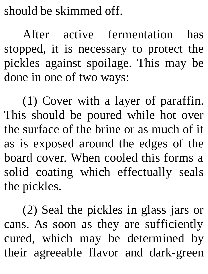should be skimmed off.

After active fermentation has stopped, it is necessary to protect the pickles against spoilage. This may be done in one of two ways:

(1) Cover with a layer of paraffin. This should be poured while hot over the surface of the brine or as much of it as is exposed around the edges of the board cover. When cooled this forms a solid coating which effectually seals the pickles.

(2) Seal the pickles in glass jars or cans. As soon as they are sufficiently cured, which may be determined by their agreeable flavor and dark-green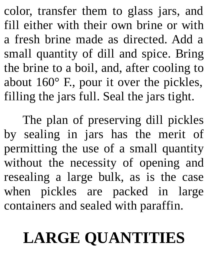color, transfer them to glass jars, and fill either with their own brine or with a fresh brine made as directed. Add a small quantity of dill and spice. Bring the brine to a boil, and, after cooling to about 160° F., pour it over the pickles, filling the jars full. Seal the jars tight.

The plan of preserving dill pickles by sealing in jars has the merit of permitting the use of a small quantity without the necessity of opening and resealing a large bulk, as is the case when pickles are packed in large containers and sealed with paraffin.

#### **LARGE QUANTITIES**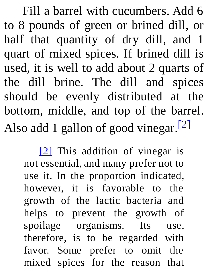Fill a barrel with cucumbers. Add 6 to 8 pounds of green or brined dill, or half that quantity of dry dill, and 1 quart of mixed spices. If brined dill is used, it is well to add about 2 quarts of the dill brine. The dill and spices should be evenly distributed at the bottom, middle, and top of the barrel. Also add 1 gallon of good vinegar.<sup>[2]</sup>

> [2] This addition of vinegar is not essential, and many prefer not to use it. In the proportion indicated, however, it is favorable to the growth of the lactic bacteria and helps to prevent the growth of spoilage organisms. Its use, therefore, is to be regarded with favor. Some prefer to omit the mixed spices for the reason that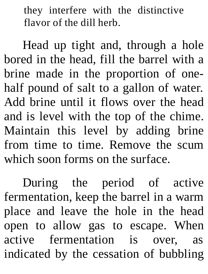they interfere with the distinctive flavor of the dill herb.

Head up tight and, through a hole bored in the head, fill the barrel with a brine made in the proportion of onehalf pound of salt to a gallon of water. Add brine until it flows over the head and is level with the top of the chime. Maintain this level by adding brine from time to time. Remove the scum which soon forms on the surface.

During the period of active fermentation, keep the barrel in a warm place and leave the hole in the head open to allow gas to escape. When active fermentation is over, as indicated by the cessation of bubbling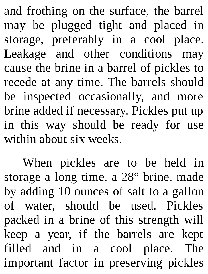and frothing on the surface, the barrel may be plugged tight and placed in storage, preferably in a cool place. Leakage and other conditions may cause the brine in a barrel of pickles to recede at any time. The barrels should be inspected occasionally, and more brine added if necessary. Pickles put up in this way should be ready for use within about six weeks.

When pickles are to be held in storage a long time, a 28° brine, made by adding 10 ounces of salt to a gallon of water, should be used. Pickles packed in a brine of this strength will keep a year, if the barrels are kept filled and in a cool place. The important factor in preserving pickles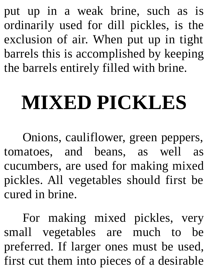put up in a weak brine, such as is ordinarily used for dill pickles, is the exclusion of air. When put up in tight barrels this is accomplished by keeping the barrels entirely filled with brine.

# **MIXED PICKLES**

Onions, cauliflower, green peppers, tomatoes, and beans, as well as cucumbers, are used for making mixed pickles. All vegetables should first be cured in brine.

For making mixed pickles, very small vegetables are much to be preferred. If larger ones must be used, first cut them into pieces of a desirable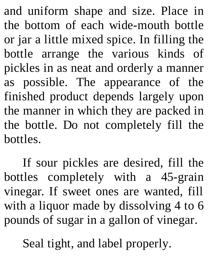and uniform shape and size. Place in the bottom of each wide-mouth bottle or jar a little mixed spice. In filling the bottle arrange the various kinds of pickles in as neat and orderly a manner as possible. The appearance of the finished product depends largely upon the manner in which they are packed in the bottle. Do not completely fill the bottles.

If sour pickles are desired, fill the bottles completely with a 45-grain vinegar. If sweet ones are wanted, fill with a liquor made by dissolving 4 to 6 pounds of sugar in a gallon of vinegar.

Seal tight, and label properly.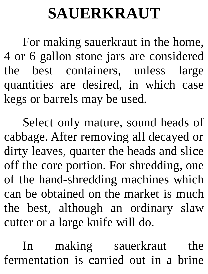#### **SAUERKRAUT**

For making sauerkraut in the home, 4 or 6 gallon stone jars are considered the best containers, unless large quantities are desired, in which case kegs or barrels may be used.

Select only mature, sound heads of cabbage. After removing all decayed or dirty leaves, quarter the heads and slice off the core portion. For shredding, one of the hand-shredding machines which can be obtained on the market is much the best, although an ordinary slaw cutter or a large knife will do.

In making sauerkraut the fermentation is carried out in a brine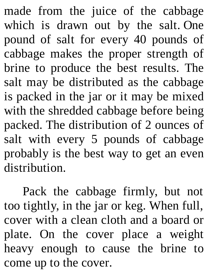made from the juice of the cabbage which is drawn out by the salt. One pound of salt for every 40 pounds of cabbage makes the proper strength of brine to produce the best results. The salt may be distributed as the cabbage is packed in the jar or it may be mixed with the shredded cabbage before being packed. The distribution of 2 ounces of salt with every 5 pounds of cabbage probably is the best way to get an even distribution.

Pack the cabbage firmly, but not too tightly, in the jar or keg. When full, cover with a clean cloth and a board or plate. On the cover place a weight heavy enough to cause the brine to come up to the cover.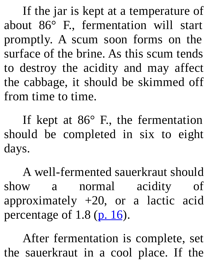If the jar is kept at a temperature of about 86° F., fermentation will start promptly. A scum soon forms on the surface of the brine. As this scum tends to destroy the acidity and may affect the cabbage, it should be skimmed off from time to time.

If kept at 86° F., the fermentation should be completed in six to eight days.

A well-fermented sauerkraut should show a normal acidity of approximately +20, or a lactic acid percentage of  $1.8$  ( $p. 16$ ).

After fermentation is complete, set the sauerkraut in a cool place. If the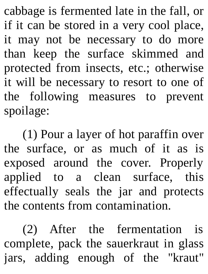cabbage is fermented late in the fall, or if it can be stored in a very cool place, it may not be necessary to do more than keep the surface skimmed and protected from insects, etc.; otherwise it will be necessary to resort to one of the following measures to prevent spoilage:

(1) Pour a layer of hot paraffin over the surface, or as much of it as is exposed around the cover. Properly applied to a clean surface, this effectually seals the jar and protects the contents from contamination.

(2) After the fermentation is complete, pack the sauerkraut in glass jars, adding enough of the "kraut"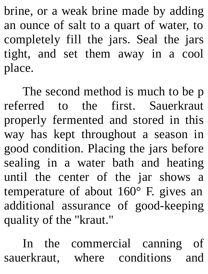brine, or a weak brine made by adding an ounce of salt to a quart of water, to completely fill the jars. Seal the jars tight, and set them away in a cool place.

The second method is much to be p referred to the first. Sauerkraut properly fermented and stored in this way has kept throughout a season in good condition. Placing the jars before sealing in a water bath and heating until the center of the jar shows a temperature of about 160° F. gives an additional assurance of good-keeping quality of the "kraut."

In the commercial canning of sauerkraut, where conditions and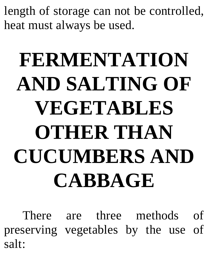length of storage can not be controlled, heat must always be used.

# **FERMENTATION AND SALTING OF VEGETABLES OTHER THAN CUCUMBERS AND CABBAGE**

There are three methods of preserving vegetables by the use of salt: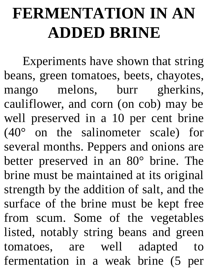# **FERMENTATION IN AN ADDED BRINE**

Experiments have shown that string beans, green tomatoes, beets, chayotes, mango melons, burr gherkins, cauliflower, and corn (on cob) may be well preserved in a 10 per cent brine (40° on the salinometer scale) for several months. Peppers and onions are better preserved in an 80° brine. The brine must be maintained at its original strength by the addition of salt, and the surface of the brine must be kept free from scum. Some of the vegetables listed, notably string beans and green tomatoes, are well adapted to fermentation in a weak brine (5 per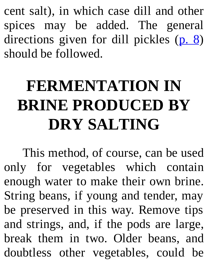cent salt), in which case dill and other spices may be added. The general directions given for dill pickles  $(p, 8)$ should be followed.

#### **FERMENTATION IN BRINE PRODUCED BY DRY SALTING**

This method, of course, can be used only for vegetables which contain enough water to make their own brine. String beans, if young and tender, may be preserved in this way. Remove tips and strings, and, if the pods are large, break them in two. Older beans, and doubtless other vegetables, could be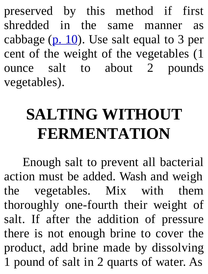preserved by this method if first shredded in the same manner as cabbage  $(p. 10)$ . Use salt equal to 3 per cent of the weight of the vegetables (1 ounce salt to about 2 pounds vegetables).

#### **SALTING WITHOUT FERMENTATION**

Enough salt to prevent all bacterial action must be added. Wash and weigh the vegetables. Mix with them thoroughly one-fourth their weight of salt. If after the addition of pressure there is not enough brine to cover the product, add brine made by dissolving 1 pound of salt in 2 quarts of water. As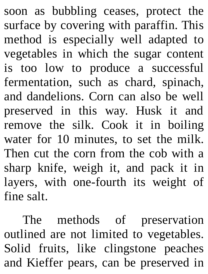soon as bubbling ceases, protect the surface by covering with paraffin. This method is especially well adapted to vegetables in which the sugar content is too low to produce a successful fermentation, such as chard, spinach, and dandelions. Corn can also be well preserved in this way. Husk it and remove the silk. Cook it in boiling water for 10 minutes, to set the milk. Then cut the corn from the cob with a sharp knife, weigh it, and pack it in layers, with one-fourth its weight of fine salt.

The methods of preservation outlined are not limited to vegetables. Solid fruits, like clingstone peaches and Kieffer pears, can be preserved in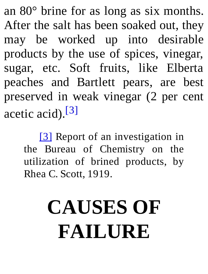an 80° brine for as long as six months. After the salt has been soaked out, they may be worked up into desirable products by the use of spices, vinegar, sugar, etc. Soft fruits, like Elberta peaches and Bartlett pears, are best preserved in weak vinegar (2 per cent acetic acid).<sup>[3]</sup>

[3] Report of an investigation in the Bureau of Chemistry on the utilization of brined products, by Rhea C. Scott, 1919.

# **CAUSES OF FAILURE**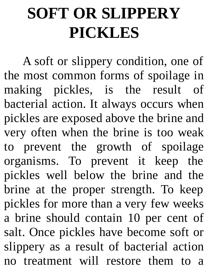### **SOFT OR SLIPPERY PICKLES**

A soft or slippery condition, one of the most common forms of spoilage in making pickles, is the result of bacterial action. It always occurs when pickles are exposed above the brine and very often when the brine is too weak to prevent the growth of spoilage organisms. To prevent it keep the pickles well below the brine and the brine at the proper strength. To keep pickles for more than a very few weeks a brine should contain 10 per cent of salt. Once pickles have become soft or slippery as a result of bacterial action no treatment will restore them to a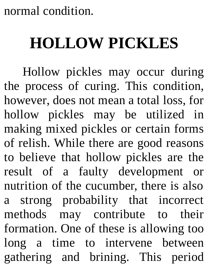#### normal condition.

### **HOLLOW PICKLES**

Hollow pickles may occur during the process of curing. This condition, however, does not mean a total loss, for hollow pickles may be utilized in making mixed pickles or certain forms of relish. While there are good reasons to believe that hollow pickles are the result of a faulty development or nutrition of the cucumber, there is also a strong probability that incorrect methods may contribute to their formation. One of these is allowing too long a time to intervene between gathering and brining. This period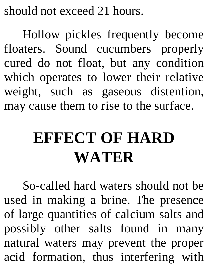should not exceed 21 hours.

Hollow pickles frequently become floaters. Sound cucumbers properly cured do not float, but any condition which operates to lower their relative weight, such as gaseous distention, may cause them to rise to the surface.

# **EFFECT OF HARD WATER**

So-called hard waters should not be used in making a brine. The presence of large quantities of calcium salts and possibly other salts found in many natural waters may prevent the proper acid formation, thus interfering with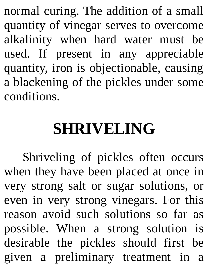normal curing. The addition of a small quantity of vinegar serves to overcome alkalinity when hard water must be used. If present in any appreciable quantity, iron is objectionable, causing a blackening of the pickles under some conditions.

#### **SHRIVELING**

Shriveling of pickles often occurs when they have been placed at once in very strong salt or sugar solutions, or even in very strong vinegars. For this reason avoid such solutions so far as possible. When a strong solution is desirable the pickles should first be given a preliminary treatment in a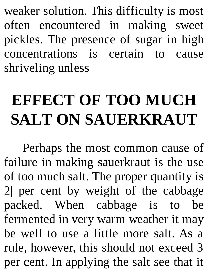weaker solution. This difficulty is most often encountered in making sweet pickles. The presence of sugar in high concentrations is certain to cause shriveling unless

## **EFFECT OF TOO MUCH SALT ON SAUERKRAUT**

Perhaps the most common cause of failure in making sauerkraut is the use of too much salt. The proper quantity is 2| per cent by weight of the cabbage packed. When cabbage is to be fermented in very warm weather it may be well to use a little more salt. As a rule, however, this should not exceed 3 per cent. In applying the salt see that it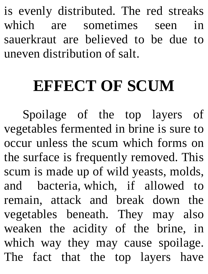is evenly distributed. The red streaks which are sometimes seen in sauerkraut are believed to be due to uneven distribution of salt.

## **EFFECT OF SCUM**

Spoilage of the top layers of vegetables fermented in brine is sure to occur unless the scum which forms on the surface is frequently removed. This scum is made up of wild yeasts, molds, and bacteria, which, if allowed to remain, attack and break down the vegetables beneath. They may also weaken the acidity of the brine, in which way they may cause spoilage. The fact that the top layers have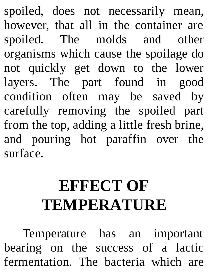spoiled, does not necessarily mean, however, that all in the container are spoiled. The molds and other organisms which cause the spoilage do not quickly get down to the lower layers. The part found in good condition often may be saved by carefully removing the spoiled part from the top, adding a little fresh brine, and pouring hot paraffin over the surface.

## **EFFECT OF TEMPERATURE**

Temperature has an important bearing on the success of a lactic fermentation. The bacteria which are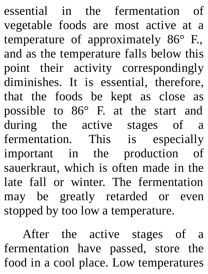essential in the fermentation of vegetable foods are most active at a temperature of approximately 86° F., and as the temperature falls below this point their activity correspondingly diminishes. It is essential, therefore, that the foods be kept as close as possible to 86° F. at the start and during the active stages of a fermentation. This is especially important in the production of sauerkraut, which is often made in the late fall or winter. The fermentation may be greatly retarded or even stopped by too low a temperature.

After the active stages of a fermentation have passed, store the food in a cool place. Low temperatures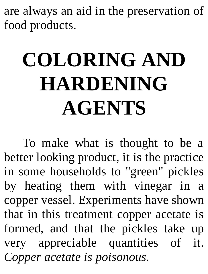are always an aid in the preservation of food products.

# **COLORING AND HARDENING AGENTS**

To make what is thought to be a better looking product, it is the practice in some households to "green" pickles by heating them with vinegar in a copper vessel. Experiments have shown that in this treatment copper acetate is formed, and that the pickles take up very appreciable quantities of it. *Copper acetate is poisonous.*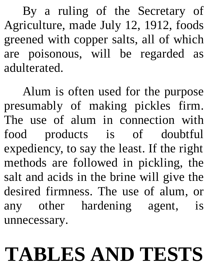By a ruling of the Secretary of Agriculture, made July 12, 1912, foods greened with copper salts, all of which are poisonous, will be regarded as adulterated.

Alum is often used for the purpose presumably of making pickles firm. The use of alum in connection with food products is of doubtful expediency, to say the least. If the right methods are followed in pickling, the salt and acids in the brine will give the desired firmness. The use of alum, or any other hardening agent, is unnecessary.

# **TABLES AND TESTS**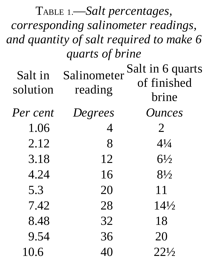| TABLE 1.—Salt percentages,              |                                |                                          |  |  |  |
|-----------------------------------------|--------------------------------|------------------------------------------|--|--|--|
| corresponding salinometer readings,     |                                |                                          |  |  |  |
| and quantity of salt required to make 6 |                                |                                          |  |  |  |
| quarts of brine                         |                                |                                          |  |  |  |
| solution                                | Salt in Salinometer<br>reading | Salt in 6 quarts<br>of finished<br>brine |  |  |  |
| Per cent                                | Degrees                        | <b>Ounces</b>                            |  |  |  |
| 1.06                                    | 4                              | $\overline{2}$                           |  |  |  |
| 2.12                                    | 8                              | $4\frac{1}{4}$                           |  |  |  |
| 3.18                                    | 12                             | $6\frac{1}{2}$                           |  |  |  |
| 4.24                                    | 16                             | $8\frac{1}{2}$                           |  |  |  |
| 5.3                                     | 20                             | 11                                       |  |  |  |
| 7.42                                    | 28                             | $14\frac{1}{2}$                          |  |  |  |
| 8.48                                    | 32                             | 18                                       |  |  |  |
| 9.54                                    | 36                             | 20                                       |  |  |  |
| 10.6                                    | 40                             | 22½                                      |  |  |  |
|                                         |                                |                                          |  |  |  |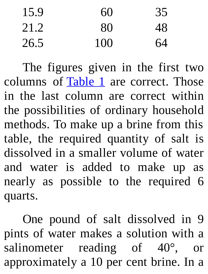| 15.9 | 60  | -35 |
|------|-----|-----|
| 21.2 | 80  | 48  |
| 26.5 | 100 | 64  |

The figures given in the first two columns of  $Table 1$  are correct. Those in the last column are correct within the possibilities of ordinary household methods. To make up a brine from this table, the required quantity of salt is dissolved in a smaller volume of water and water is added to make up as nearly as possible to the required 6 quarts.

One pound of salt dissolved in 9 pints of water makes a solution with a salinometer reading of 40°, or approximately a 10 per cent brine. In a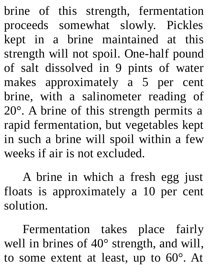brine of this strength, fermentation proceeds somewhat slowly. Pickles kept in a brine maintained at this strength will not spoil. One-half pound of salt dissolved in 9 pints of water makes approximately a 5 per cent brine, with a salinometer reading of 20°. A brine of this strength permits a rapid fermentation, but vegetables kept in such a brine will spoil within a few weeks if air is not excluded.

A brine in which a fresh egg just floats is approximately a 10 per cent solution.

Fermentation takes place fairly well in brines of 40° strength, and will, to some extent at least, up to 60°. At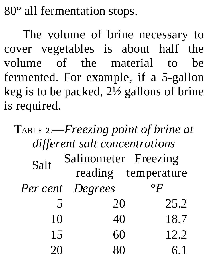80° all fermentation stops.

The volume of brine necessary to cover vegetables is about half the volume of the material to be fermented. For example, if a 5-gallon keg is to be packed, 2½ gallons of brine is required.

TABLE 2.—*Freezing point of brine at different salt concentrations* Salt Salinometer Freezing reading temperature *Per cent Degrees* °*F* 5 20 25.2 10 40 18.7 15 60 12.2 20 80 6.1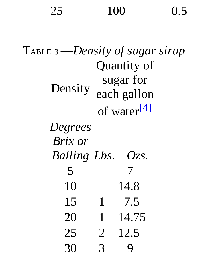25 100 0.5

TABLE 3.—*Density of sugar sirup* Density Quantity of sugar for each gallon of water<sup>[4]</sup> *Degrees Brix or Balling Lbs. Ozs.* 5 7 10 14.8 15 1 7.5 20 1 14.75 25 2 12.5 30 3 9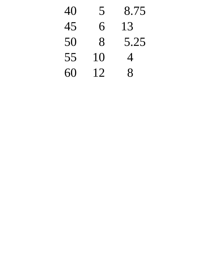| 40 | 5  | 8.75 |
|----|----|------|
| 45 | 6  | 13   |
| 50 | 8  | 5.25 |
| 55 | 10 | 4    |
| 60 | 12 | 8    |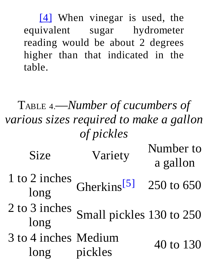[4] When vinegar is used, the equivalent sugar hydrometer reading would be about 2 degrees higher than that indicated in the table.

### TABLE 4.—*Number of cucumbers of various sizes required to make a gallon of pickles*

| <b>Size</b>                  | Variety                            | Number to<br>a gallon |
|------------------------------|------------------------------------|-----------------------|
| 1 to 2 inches<br>long        | Gherkins <sup>[5]</sup> 250 to 650 |                       |
| 2 to 3 inches<br>long        | Small pickles 130 to 250           |                       |
| 3 to 4 inches Medium<br>long | pickles                            | 40 to 130             |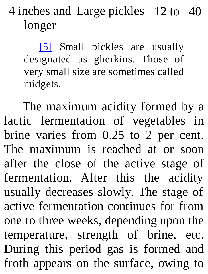#### 4 inches and Large pickles 12 to 40 longer

[5] Small pickles are usually designated as gherkins. Those of very small size are sometimes called midgets.

The maximum acidity formed by a lactic fermentation of vegetables in brine varies from 0.25 to 2 per cent. The maximum is reached at or soon after the close of the active stage of fermentation. After this the acidity usually decreases slowly. The stage of active fermentation continues for from one to three weeks, depending upon the temperature, strength of brine, etc. During this period gas is formed and froth appears on the surface, owing to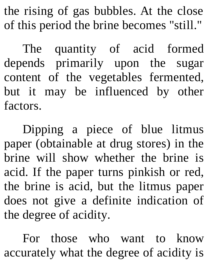the rising of gas bubbles. At the close of this period the brine becomes "still."

The quantity of acid formed depends primarily upon the sugar content of the vegetables fermented, but it may be influenced by other factors.

Dipping a piece of blue litmus paper (obtainable at drug stores) in the brine will show whether the brine is acid. If the paper turns pinkish or red, the brine is acid, but the litmus paper does not give a definite indication of the degree of acidity.

For those who want to know accurately what the degree of acidity is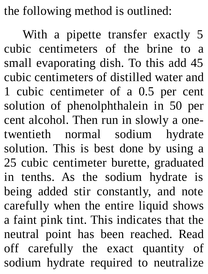the following method is outlined:

With a pipette transfer exactly 5 cubic centimeters of the brine to a small evaporating dish. To this add 45 cubic centimeters of distilled water and 1 cubic centimeter of a 0.5 per cent solution of phenolphthalein in 50 per cent alcohol. Then run in slowly a onetwentieth normal sodium hydrate solution. This is best done by using a 25 cubic centimeter burette, graduated in tenths. As the sodium hydrate is being added stir constantly, and note carefully when the entire liquid shows a faint pink tint. This indicates that the neutral point has been reached. Read off carefully the exact quantity of sodium hydrate required to neutralize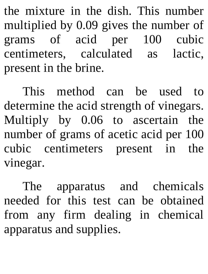the mixture in the dish. This number multiplied by 0.09 gives the number of grams of acid per 100 cubic centimeters, calculated as lactic, present in the brine.

This method can be used to determine the acid strength of vinegars. Multiply by 0.06 to ascertain the number of grams of acetic acid per 100 cubic centimeters present in the vinegar.

The apparatus and chemicals needed for this test can be obtained from any firm dealing in chemical apparatus and supplies.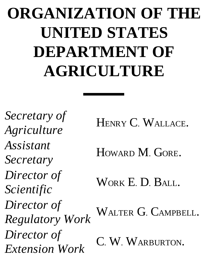## **ORGANIZATION OF TH UNITED STATES DEPARTMENT OF AGRICULTURE**

*Secretary of Agriculture Assistant Secretary Director of Scientific Director of Regulatory Work* <sup>W</sup>ALTER <sup>G</sup>. <sup>C</sup>AMPBELL. *Director of Extension Work*

HENRY C. WALLACE.

HOWARD M. GORE.

WORK E. D. BALL.

C. W. WARBURTON.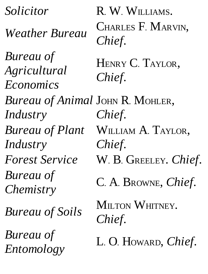*Solicitor* R. W. WILLIAMS. *Weather Bureau Bureau of Agricultural Economics Bureau of Animal* JOHN R. MOHLER, *Industry Bureau of Plant Industry Bureau of Chemistry Bureau of Soils Bureau of Entomology*

CHARLES F. MARVIN, *Chief*. HENRY C. TAYLOR, *Chief*. *Chief*. WILLIAM A. TAYLOR, *Chief*. *Forest Service* W. B. GREELEY. *Chief*. C. A. BROWNE, *Chief*. MILTON WHITNEY. *Chief*. L. O. HOWARD, *Chief*.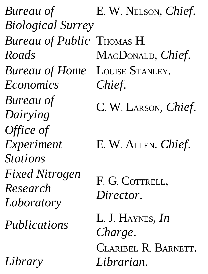*Bureau of Biological Surrey* E. W. NELSON, *Chief*.  $B$ ureau of Public Тномаѕ Н. *Roads* MACDONALD, *Chief*. *Bureau of Home* LOUISE STANLEY. *Economics Chief*. *Bureau of Dairying Office of Experiment Stations Fixed Nitrogen Research Laboratory Director*. *Publications*

*Library*

C. W. LARSON, *Chief*. E. W. ALLEN. *Chief*. F. G. COTTRELL, L. J. HAYNES, *In Charge*.

CLARIBEL R. BARNETT. *Librarian*.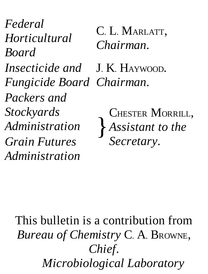*Federal Horticultural Board Insecticide and Fungicide Board Packers and Stockyards Administration* **}** *Assistant t Grain Futures Secretary. Grain Futures Secretary*. *Administration*

C. L. MARLATT, *Chairman*.

J. K. HAYWOOD. *Chairman*.



This bulletin is a contribution from *Bureau of Chemistry* C. A. BROWNE, *Chief*. *Microbiological Laboratory*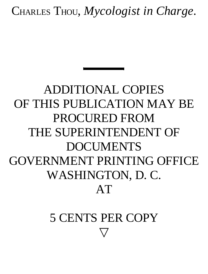CHARLES THOU, *Mycologist in Charge*.

### ADDITIONAL COPIES OF THIS PUBLICATION MAY BE PROCURED FROM THE SUPERINTENDENT OF **DOCUMENTS** GOVERNMENT PRINTING OFFICE WASHINGTON, D. C. AT

### 5 CENTS PER COPY ▽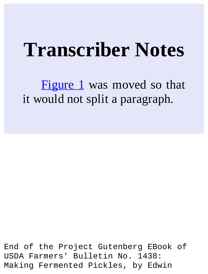# **Transcriber Notes**

Figure 1 was moved so that it would not split a paragraph.

End of the Project Gutenberg EBook of USDA Farmers' Bulletin No. 1438: Making Fermented Pickles, by Edwin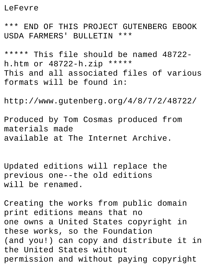LeFevre

\*\*\* END OF THIS PROJECT GUTENBERG EBOOK USDA FARMERS' BULLETIN \*\*\*

\*\*\*\*\* This file should be named 48722 h.htm or 48722-h.zip \*\*\*\*\* This and all associated files of various formats will be found in:

http://www.gutenberg.org/4/8/7/2/48722/

Produced by Tom Cosmas produced from materials made available at The Internet Archive.

Updated editions will replace the previous one--the old editions will be renamed.

Creating the works from public domain print editions means that no one owns a United States copyright in these works, so the Foundation (and you!) can copy and distribute it in the United States without permission and without paying copyright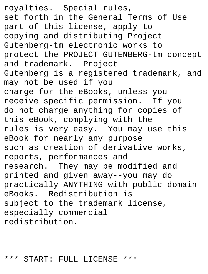royalties. Special rules, set forth in the General Terms of Use part of this license, apply to copying and distributing Project Gutenberg-tm electronic works to protect the PROJECT GUTENBERG-tm concept and trademark. Project Gutenberg is a registered trademark, and may not be used if you charge for the eBooks, unless you receive specific permission. If you do not charge anything for copies of this eBook, complying with the rules is very easy. You may use this eBook for nearly any purpose such as creation of derivative works, reports, performances and research. They may be modified and printed and given away--you may do practically ANYTHING with public domain eBooks. Redistribution is subject to the trademark license, especially commercial redistribution.

\*\*\* START: FULL LICENSE \*\*\*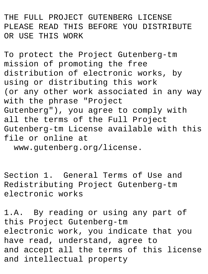THE FULL PROJECT GUTENBERG LICENSE PLEASE READ THIS BEFORE YOU DISTRIBUTE OR USE THIS WORK

To protect the Project Gutenberg-tm mission of promoting the free distribution of electronic works, by using or distributing this work (or any other work associated in any way with the phrase "Project Gutenberg"), you agree to comply with all the terms of the Full Project Gutenberg-tm License available with this file or online at

www.gutenberg.org/license.

Section 1. General Terms of Use and Redistributing Project Gutenberg-tm electronic works

1.A. By reading or using any part of this Project Gutenberg-tm electronic work, you indicate that you have read, understand, agree to and accept all the terms of this license and intellectual property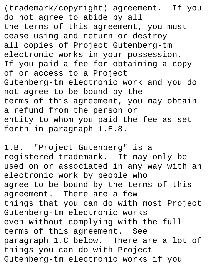(trademark/copyright) agreement. If you do not agree to abide by all the terms of this agreement, you must cease using and return or destroy all copies of Project Gutenberg-tm electronic works in your possession. If you paid a fee for obtaining a copy of or access to a Project Gutenberg-tm electronic work and you do not agree to be bound by the terms of this agreement, you may obtain a refund from the person or entity to whom you paid the fee as set forth in paragraph 1.E.8.

1.B. "Project Gutenberg" is a registered trademark. It may only be used on or associated in any way with an electronic work by people who agree to be bound by the terms of this agreement. There are a few things that you can do with most Project Gutenberg-tm electronic works even without complying with the full terms of this agreement. See paragraph 1.C below. There are a lot of things you can do with Project Gutenberg-tm electronic works if you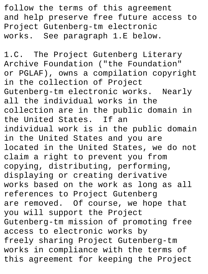follow the terms of this agreement and help preserve free future access to Project Gutenberg-tm electronic works. See paragraph 1.E below.

1.C. The Project Gutenberg Literary Archive Foundation ("the Foundation" or PGLAF), owns a compilation copyright in the collection of Project Gutenberg-tm electronic works. Nearly all the individual works in the collection are in the public domain in the United States. If an individual work is in the public domain in the United States and you are located in the United States, we do not claim a right to prevent you from copying, distributing, performing, displaying or creating derivative works based on the work as long as all references to Project Gutenberg are removed. Of course, we hope that you will support the Project Gutenberg-tm mission of promoting free access to electronic works by freely sharing Project Gutenberg-tm works in compliance with the terms of this agreement for keeping the Project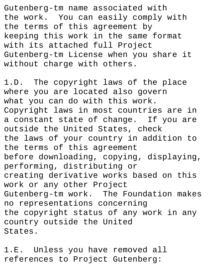Gutenberg-tm name associated with the work. You can easily comply with the terms of this agreement by keeping this work in the same format with its attached full Project Gutenberg-tm License when you share it without charge with others.

1.D. The copyright laws of the place where you are located also govern what you can do with this work. Copyright laws in most countries are in a constant state of change. If you are outside the United States, check the laws of your country in addition to the terms of this agreement before downloading, copying, displaying, performing, distributing or creating derivative works based on this work or any other Project Gutenberg-tm work. The Foundation makes no representations concerning the copyright status of any work in any country outside the United States.

1.E. Unless you have removed all references to Project Gutenberg: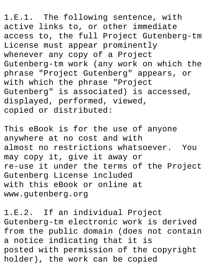1.E.1. The following sentence, with active links to, or other immediate access to, the full Project Gutenberg-tm License must appear prominently whenever any copy of a Project Gutenberg-tm work (any work on which the phrase "Project Gutenberg" appears, or with which the phrase "Project Gutenberg" is associated) is accessed, displayed, performed, viewed, copied or distributed:

This eBook is for the use of anyone anywhere at no cost and with almost no restrictions whatsoever. You may copy it, give it away or re-use it under the terms of the Project Gutenberg License included with this eBook or online at www.gutenberg.org

1.E.2. If an individual Project Gutenberg-tm electronic work is derived from the public domain (does not contain a notice indicating that it is posted with permission of the copyright holder), the work can be copied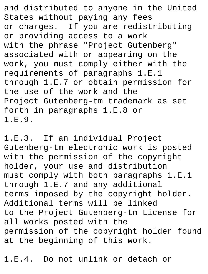and distributed to anyone in the United States without paying any fees or charges. If you are redistributing or providing access to a work with the phrase "Project Gutenberg" associated with or appearing on the work, you must comply either with the requirements of paragraphs 1.E.1 through 1.E.7 or obtain permission for the use of the work and the Project Gutenberg-tm trademark as set forth in paragraphs 1.E.8 or 1.E.9.

1.E.3. If an individual Project Gutenberg-tm electronic work is posted with the permission of the copyright holder, your use and distribution must comply with both paragraphs 1.E.1 through 1.E.7 and any additional terms imposed by the copyright holder. Additional terms will be linked to the Project Gutenberg-tm License for all works posted with the permission of the copyright holder found at the beginning of this work.

1.E.4. Do not unlink or detach or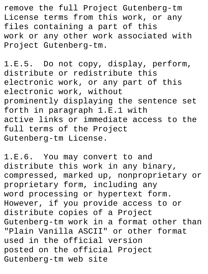remove the full Project Gutenberg-tm License terms from this work, or any files containing a part of this work or any other work associated with Project Gutenberg-tm.

1.E.5. Do not copy, display, perform, distribute or redistribute this electronic work, or any part of this electronic work, without prominently displaying the sentence set forth in paragraph 1.E.1 with active links or immediate access to the full terms of the Project Gutenberg-tm License.

1.E.6. You may convert to and distribute this work in any binary, compressed, marked up, nonproprietary or proprietary form, including any word processing or hypertext form. However, if you provide access to or distribute copies of a Project Gutenberg-tm work in a format other than "Plain Vanilla ASCII" or other format used in the official version posted on the official Project Gutenberg-tm web site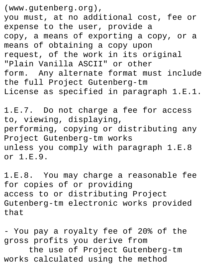(www.gutenberg.org), you must, at no additional cost, fee or expense to the user, provide a copy, a means of exporting a copy, or a means of obtaining a copy upon request, of the work in its original "Plain Vanilla ASCII" or other form. Any alternate format must include the full Project Gutenberg-tm License as specified in paragraph 1.E.1.

1.E.7. Do not charge a fee for access to, viewing, displaying, performing, copying or distributing any Project Gutenberg-tm works unless you comply with paragraph 1.E.8 or 1.E.9.

1.E.8. You may charge a reasonable fee for copies of or providing access to or distributing Project Gutenberg-tm electronic works provided that

- You pay a royalty fee of 20% of the gross profits you derive from the use of Project Gutenberg-tm works calculated using the method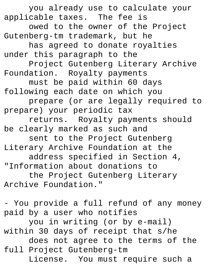you already use to calculate your applicable taxes. The fee is owed to the owner of the Project Gutenberg-tm trademark, but he has agreed to donate royalties under this paragraph to the Project Gutenberg Literary Archive Foundation. Royalty payments must be paid within 60 days following each date on which you prepare (or are legally required to prepare) your periodic tax returns. Royalty payments should be clearly marked as such and sent to the Project Gutenberg Literary Archive Foundation at the address specified in Section 4, "Information about donations to the Project Gutenberg Literary Archive Foundation."

- You provide a full refund of any money paid by a user who notifies you in writing (or by e-mail) within 30 days of receipt that s/he does not agree to the terms of the full Project Gutenberg-tm License. You must require such a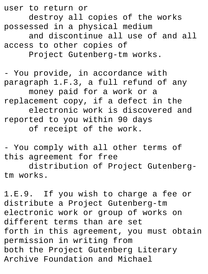user to return or destroy all copies of the works possessed in a physical medium and discontinue all use of and all access to other copies of Project Gutenberg-tm works.

- You provide, in accordance with paragraph 1.F.3, a full refund of any money paid for a work or a replacement copy, if a defect in the electronic work is discovered and reported to you within 90 days of receipt of the work.

- You comply with all other terms of this agreement for free

distribution of Project Gutenbergtm works.

1.E.9. If you wish to charge a fee or distribute a Project Gutenberg-tm electronic work or group of works on different terms than are set forth in this agreement, you must obtain permission in writing from both the Project Gutenberg Literary Archive Foundation and Michael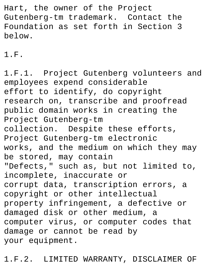Hart, the owner of the Project Gutenberg-tm trademark. Contact the Foundation as set forth in Section 3 below.

1.F.

1.F.1. Project Gutenberg volunteers and employees expend considerable effort to identify, do copyright research on, transcribe and proofread public domain works in creating the Project Gutenberg-tm collection. Despite these efforts, Project Gutenberg-tm electronic works, and the medium on which they may be stored, may contain "Defects," such as, but not limited to, incomplete, inaccurate or corrupt data, transcription errors, a copyright or other intellectual property infringement, a defective or damaged disk or other medium, a computer virus, or computer codes that damage or cannot be read by your equipment.

1.F.2. LIMITED WARRANTY, DISCLAIMER OF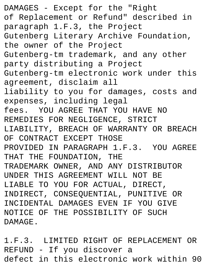DAMAGES - Except for the "Right of Replacement or Refund" described in paragraph 1.F.3, the Project Gutenberg Literary Archive Foundation, the owner of the Project Gutenberg-tm trademark, and any other party distributing a Project Gutenberg-tm electronic work under this agreement, disclaim all liability to you for damages, costs and expenses, including legal fees. YOU AGREE THAT YOU HAVE NO REMEDIES FOR NEGLIGENCE, STRICT LIABILITY, BREACH OF WARRANTY OR BREACH OF CONTRACT EXCEPT THOSE PROVIDED IN PARAGRAPH 1.F.3. YOU AGREE THAT THE FOUNDATION, THE TRADEMARK OWNER, AND ANY DISTRIBUTOR UNDER THIS AGREEMENT WILL NOT BE LIABLE TO YOU FOR ACTUAL, DIRECT, INDIRECT, CONSEQUENTIAL, PUNITIVE OR INCIDENTAL DAMAGES EVEN IF YOU GIVE NOTICE OF THE POSSIBILITY OF SUCH DAMAGE.

1.F.3. LIMITED RIGHT OF REPLACEMENT OR REFUND - If you discover a defect in this electronic work within 90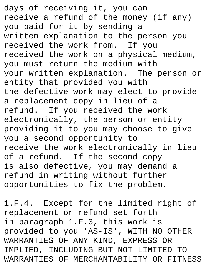days of receiving it, you can receive a refund of the money (if any) you paid for it by sending a written explanation to the person you received the work from. If you received the work on a physical medium, you must return the medium with your written explanation. The person or entity that provided you with the defective work may elect to provide a replacement copy in lieu of a refund. If you received the work electronically, the person or entity providing it to you may choose to give you a second opportunity to receive the work electronically in lieu of a refund. If the second copy is also defective, you may demand a refund in writing without further opportunities to fix the problem.

1.F.4. Except for the limited right of replacement or refund set forth in paragraph 1.F.3, this work is provided to you 'AS-IS', WITH NO OTHER WARRANTIES OF ANY KIND, EXPRESS OR IMPLIED, INCLUDING BUT NOT LIMITED TO WARRANTIES OF MERCHANTABILITY OR FITNESS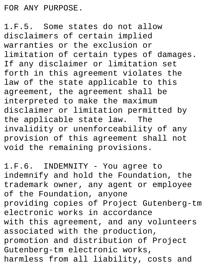FOR ANY PURPOSE.

1.F.5. Some states do not allow disclaimers of certain implied warranties or the exclusion or limitation of certain types of damages. If any disclaimer or limitation set forth in this agreement violates the law of the state applicable to this agreement, the agreement shall be interpreted to make the maximum disclaimer or limitation permitted by the applicable state law. The invalidity or unenforceability of any provision of this agreement shall not void the remaining provisions.

1.F.6. INDEMNITY - You agree to indemnify and hold the Foundation, the trademark owner, any agent or employee of the Foundation, anyone providing copies of Project Gutenberg-tm electronic works in accordance with this agreement, and any volunteers associated with the production, promotion and distribution of Project Gutenberg-tm electronic works, harmless from all liability, costs and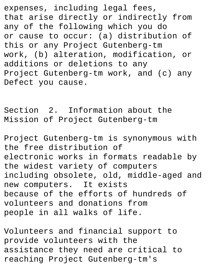expenses, including legal fees, that arise directly or indirectly from any of the following which you do or cause to occur: (a) distribution of this or any Project Gutenberg-tm work, (b) alteration, modification, or additions or deletions to any Project Gutenberg-tm work, and (c) any Defect you cause.

Section 2. Information about the Mission of Project Gutenberg-tm

Project Gutenberg-tm is synonymous with the free distribution of electronic works in formats readable by the widest variety of computers including obsolete, old, middle-aged and new computers. It exists because of the efforts of hundreds of volunteers and donations from people in all walks of life.

Volunteers and financial support to provide volunteers with the assistance they need are critical to reaching Project Gutenberg-tm's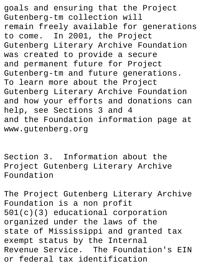goals and ensuring that the Project Gutenberg-tm collection will remain freely available for generations to come. In 2001, the Project Gutenberg Literary Archive Foundation was created to provide a secure and permanent future for Project Gutenberg-tm and future generations. To learn more about the Project Gutenberg Literary Archive Foundation and how your efforts and donations can help, see Sections 3 and 4 and the Foundation information page at www.gutenberg.org

Section 3. Information about the Project Gutenberg Literary Archive Foundation

The Project Gutenberg Literary Archive Foundation is a non profit 501(c)(3) educational corporation organized under the laws of the state of Mississippi and granted tax exempt status by the Internal Revenue Service. The Foundation's EIN or federal tax identification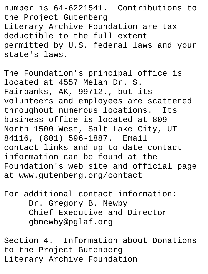number is 64-6221541. Contributions to the Project Gutenberg Literary Archive Foundation are tax deductible to the full extent permitted by U.S. federal laws and your state's laws.

The Foundation's principal office is located at 4557 Melan Dr. S. Fairbanks, AK, 99712., but its volunteers and employees are scattered throughout numerous locations. Its business office is located at 809 North 1500 West, Salt Lake City, UT 84116, (801) 596-1887. Email contact links and up to date contact information can be found at the Foundation's web site and official page at www.gutenberg.org/contact

For additional contact information: Dr. Gregory B. Newby Chief Executive and Director gbnewby@pglaf.org

Section 4. Information about Donations to the Project Gutenberg Literary Archive Foundation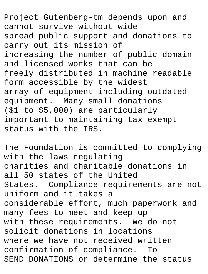Project Gutenberg-tm depends upon and cannot survive without wide spread public support and donations to carry out its mission of increasing the number of public domain and licensed works that can be freely distributed in machine readable form accessible by the widest array of equipment including outdated equipment. Many small donations (\$1 to \$5,000) are particularly important to maintaining tax exempt status with the IRS.

The Foundation is committed to complying with the laws regulating charities and charitable donations in all 50 states of the United States. Compliance requirements are not uniform and it takes a considerable effort, much paperwork and many fees to meet and keep up with these requirements. We do not solicit donations in locations where we have not received written confirmation of compliance. To SEND DONATIONS or determine the status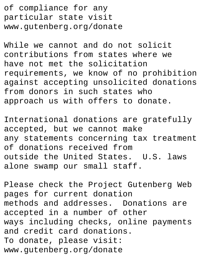of compliance for any particular state visit www.gutenberg.org/donate

While we cannot and do not solicit contributions from states where we have not met the solicitation requirements, we know of no prohibition against accepting unsolicited donations from donors in such states who approach us with offers to donate.

International donations are gratefully accepted, but we cannot make any statements concerning tax treatment of donations received from outside the United States. U.S. laws alone swamp our small staff.

Please check the Project Gutenberg Web pages for current donation methods and addresses. Donations are accepted in a number of other ways including checks, online payments and credit card donations. To donate, please visit: www.gutenberg.org/donate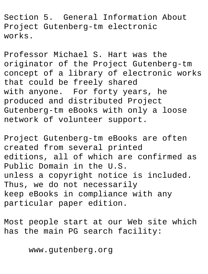Section 5. General Information About Project Gutenberg-tm electronic works.

Professor Michael S. Hart was the originator of the Project Gutenberg-tm concept of a library of electronic works that could be freely shared with anyone. For forty years, he produced and distributed Project Gutenberg-tm eBooks with only a loose network of volunteer support.

Project Gutenberg-tm eBooks are often created from several printed editions, all of which are confirmed as Public Domain in the U.S. unless a copyright notice is included. Thus, we do not necessarily keep eBooks in compliance with any particular paper edition.

Most people start at our Web site which has the main PG search facility:

www.gutenberg.org